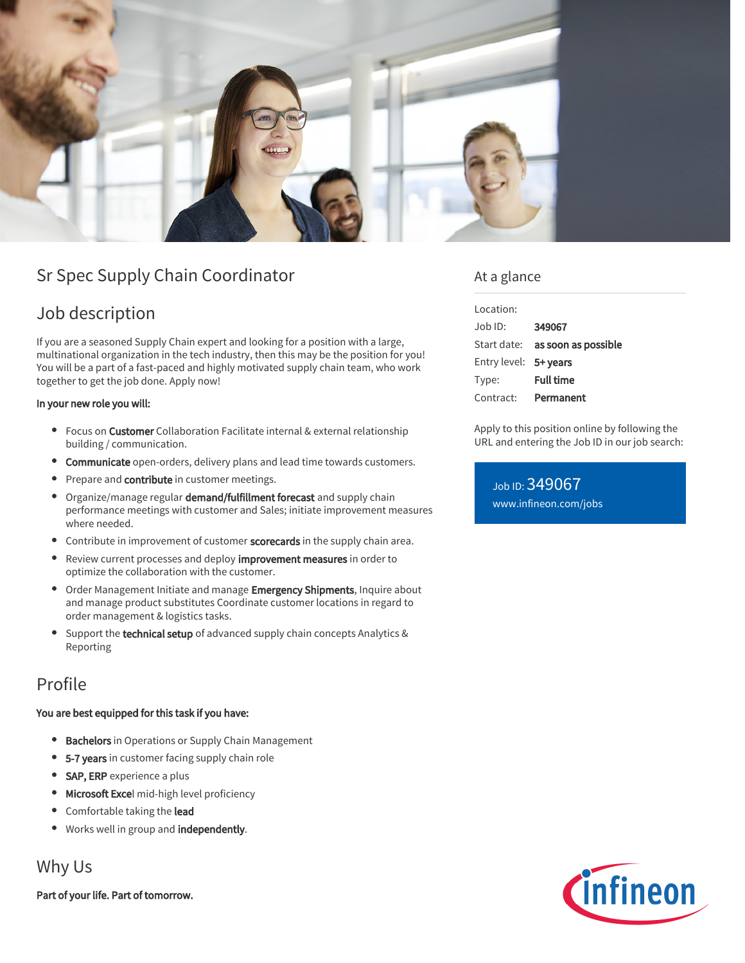

# Sr Spec Supply Chain Coordinator

# Job description

If you are a seasoned Supply Chain expert and looking for a position with a large, multinational organization in the tech industry, then this may be the position for you! You will be a part of a fast-paced and highly motivated supply chain team, who work together to get the job done. Apply now!

#### In your new role you will:

- Focus on Customer Collaboration Facilitate internal & external relationship building / communication.
- **Communicate** open-orders, delivery plans and lead time towards customers.
- **Prepare and contribute in customer meetings.**
- Organize/manage regular **demand/fulfillment forecast** and supply chain performance meetings with customer and Sales; initiate improvement measures where needed.
- Contribute in improvement of customer scorecards in the supply chain area.
- Review current processes and deploy improvement measures in order to optimize the collaboration with the customer.
- Order Management Initiate and manage Emergency Shipments, Inquire about and manage product substitutes Coordinate customer locations in regard to order management & logistics tasks.
- Support the technical setup of advanced supply chain concepts Analytics & Reporting

## Profile

#### You are best equipped for this task if you have:

- **Bachelors** in Operations or Supply Chain Management
- 5-7 years in customer facing supply chain role
- SAP, ERP experience a plus
- **Microsoft Excel** mid-high level proficiency
- Comfortable taking the lead
- **Works well in group and independently.**

## Why Us

Part of your life. Part of tomorrow.

### At a glance

| Location:             |                                        |
|-----------------------|----------------------------------------|
| $.$ lob $1D$ :        | 349067                                 |
|                       | Start date: <b>as soon as possible</b> |
| Entry level: 5+ years |                                        |
| Type:                 | <b>Full time</b>                       |
| Contract:             | Permanent                              |
|                       |                                        |

Apply to this position online by following the URL and entering the Job ID in our job search:

Job ID: 349067 [www.infineon.com/jobs](https://www.infineon.com/jobs)